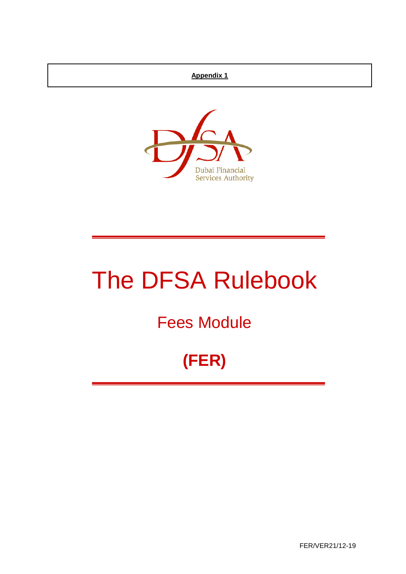## **Appendix 1**



# The DFSA Rulebook

## Fees Module

## **(FER)**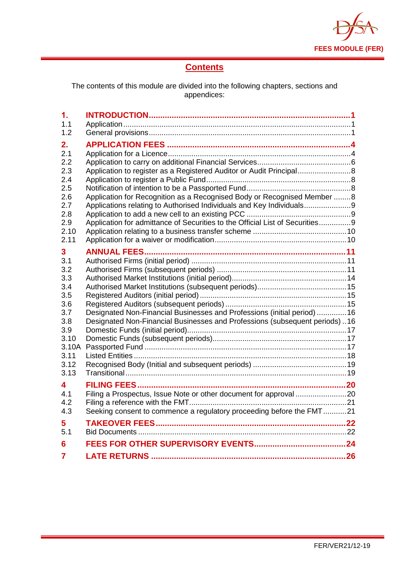

## **Contents**

The contents of this module are divided into the following chapters, sections and appendices:

| 1.             |                                                                              |  |
|----------------|------------------------------------------------------------------------------|--|
| 1.1            |                                                                              |  |
| 1.2            |                                                                              |  |
| 2.             |                                                                              |  |
| 2.1            |                                                                              |  |
| 2.2            |                                                                              |  |
| 2.3            | Application to register as a Registered Auditor or Audit Principal 8         |  |
| 2.4            |                                                                              |  |
| 2.5            |                                                                              |  |
| 2.6            | Application for Recognition as a Recognised Body or Recognised Member 8      |  |
| 2.7            | Applications relating to Authorised Individuals and Key Individuals9         |  |
| 2.8            |                                                                              |  |
| 2.9<br>2.10    | Application for admittance of Securities to the Official List of Securities9 |  |
| 2.11           |                                                                              |  |
|                |                                                                              |  |
| 3              |                                                                              |  |
| 3.1            |                                                                              |  |
| 3.2<br>3.3     |                                                                              |  |
| 3.4            |                                                                              |  |
| 3.5            |                                                                              |  |
| 3.6            |                                                                              |  |
| 3.7            | Designated Non-Financial Businesses and Professions (initial period)  16     |  |
| 3.8            | Designated Non-Financial Businesses and Professions (subsequent periods)16   |  |
| 3.9            |                                                                              |  |
| 3.10           |                                                                              |  |
| 3.10A          |                                                                              |  |
| 3.11           |                                                                              |  |
| 3.12           |                                                                              |  |
| 3.13           |                                                                              |  |
| 4              |                                                                              |  |
| 4.1            |                                                                              |  |
| 4.2            |                                                                              |  |
| 4.3            | Seeking consent to commence a regulatory proceeding before the FMT21         |  |
| 5              |                                                                              |  |
| 5.1            |                                                                              |  |
| 6              |                                                                              |  |
| $\overline{7}$ |                                                                              |  |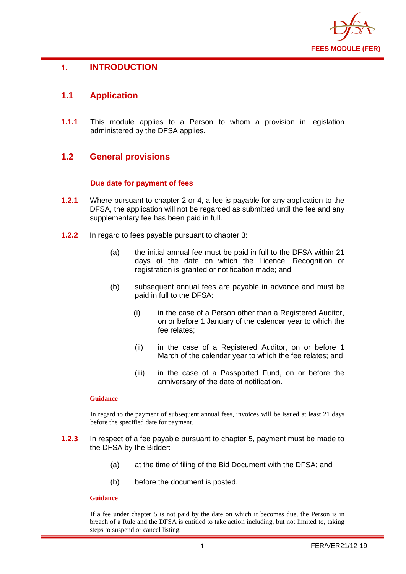

## <span id="page-2-0"></span>**1. INTRODUCTION**

## <span id="page-2-1"></span>**1.1 Application**

**1.1.1** This module applies to a Person to whom a provision in legislation administered by the DFSA applies.

## <span id="page-2-2"></span>**1.2 General provisions**

#### **Due date for payment of fees**

- **1.2.1** Where pursuant to chapter 2 or 4, a fee is payable for any application to the DFSA, the application will not be regarded as submitted until the fee and any supplementary fee has been paid in full.
- **1.2.2** In regard to fees payable pursuant to chapter 3:
	- (a) the initial annual fee must be paid in full to the DFSA within 21 days of the date on which the Licence, Recognition or registration is granted or notification made; and
	- (b) subsequent annual fees are payable in advance and must be paid in full to the DFSA:
		- (i) in the case of a Person other than a Registered Auditor, on or before 1 January of the calendar year to which the fee relates;
		- (ii) in the case of a Registered Auditor, on or before 1 March of the calendar year to which the fee relates; and
		- (iii) in the case of a Passported Fund, on or before the anniversary of the date of notification.

#### **Guidance**

In regard to the payment of subsequent annual fees, invoices will be issued at least 21 days before the specified date for payment.

- **1.2.3** In respect of a fee payable pursuant to chapter 5, payment must be made to the DFSA by the Bidder:
	- (a) at the time of filing of the Bid Document with the DFSA; and
	- (b) before the document is posted.

#### **Guidance**

If a fee under chapter 5 is not paid by the date on which it becomes due, the Person is in breach of a Rule and the DFSA is entitled to take action including, but not limited to, taking steps to suspend or cancel listing.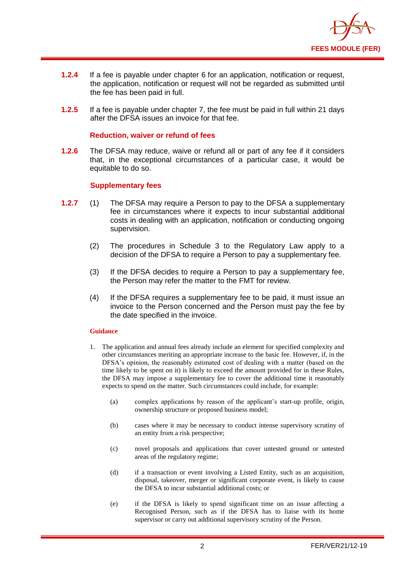

- **1.2.4** If a fee is payable under chapter 6 for an application, notification or request, the application, notification or request will not be regarded as submitted until the fee has been paid in full.
- **1.2.5** If a fee is payable under chapter 7, the fee must be paid in full within 21 days after the DFSA issues an invoice for that fee.

#### **Reduction, waiver or refund of fees**

**1.2.6** The DFSA may reduce, waive or refund all or part of any fee if it considers that, in the exceptional circumstances of a particular case, it would be equitable to do so.

#### **Supplementary fees**

- **1.2.7** (1) The DFSA may require a Person to pay to the DFSA a supplementary fee in circumstances where it expects to incur substantial additional costs in dealing with an application, notification or conducting ongoing supervision.
	- (2) The procedures in Schedule 3 to the Regulatory Law apply to a decision of the DFSA to require a Person to pay a supplementary fee.
	- (3) If the DFSA decides to require a Person to pay a supplementary fee, the Person may refer the matter to the FMT for review.
	- (4) If the DFSA requires a supplementary fee to be paid, it must issue an invoice to the Person concerned and the Person must pay the fee by the date specified in the invoice.

#### **Guidance**

- 1. The application and annual fees already include an element for specified complexity and other circumstances meriting an appropriate increase to the basic fee. However, if, in the DFSA's opinion, the reasonably estimated cost of dealing with a matter (based on the time likely to be spent on it) is likely to exceed the amount provided for in these Rules, the DFSA may impose a supplementary fee to cover the additional time it reasonably expects to spend on the matter. Such circumstances could include, for example:
	- (a) complex applications by reason of the applicant's start-up profile, origin, ownership structure or proposed business model;
	- (b) cases where it may be necessary to conduct intense supervisory scrutiny of an entity from a risk perspective;
	- (c) novel proposals and applications that cover untested ground or untested areas of the regulatory regime;
	- (d) if a transaction or event involving a Listed Entity, such as an acquisition, disposal, takeover, merger or significant corporate event, is likely to cause the DFSA to incur substantial additional costs; or
	- (e) if the DFSA is likely to spend significant time on an issue affecting a Recognised Person, such as if the DFSA has to liaise with its home supervisor or carry out additional supervisory scrutiny of the Person.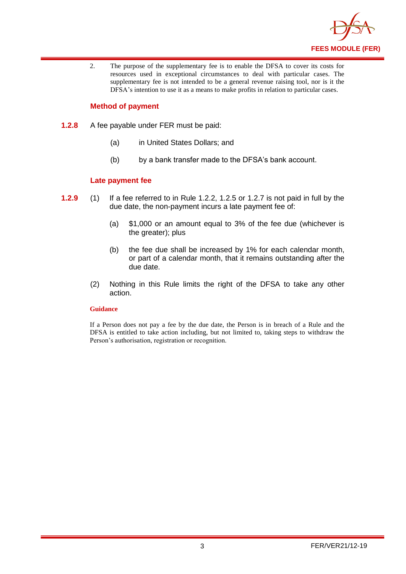

2. The purpose of the supplementary fee is to enable the DFSA to cover its costs for resources used in exceptional circumstances to deal with particular cases. The supplementary fee is not intended to be a general revenue raising tool, nor is it the DFSA's intention to use it as a means to make profits in relation to particular cases.

#### **Method of payment**

- **1.2.8** A fee payable under FER must be paid:
	- (a) in United States Dollars; and
	- (b) by a bank transfer made to the DFSA's bank account.

#### **Late payment fee**

- **1.2.9** (1) If a fee referred to in Rule 1.2.2, 1.2.5 or 1.2.7 is not paid in full by the due date, the non-payment incurs a late payment fee of:
	- (a) \$1,000 or an amount equal to 3% of the fee due (whichever is the greater); plus
	- (b) the fee due shall be increased by 1% for each calendar month, or part of a calendar month, that it remains outstanding after the due date.
	- (2) Nothing in this Rule limits the right of the DFSA to take any other action.

#### **Guidance**

If a Person does not pay a fee by the due date, the Person is in breach of a Rule and the DFSA is entitled to take action including, but not limited to, taking steps to withdraw the Person's authorisation, registration or recognition.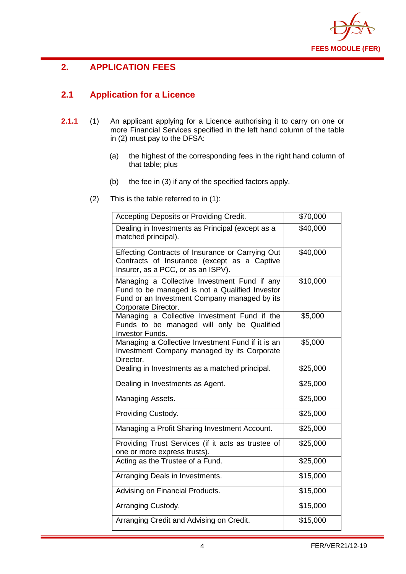

## <span id="page-5-0"></span>**2. APPLICATION FEES**

## <span id="page-5-1"></span>**2.1 Application for a Licence**

- **2.1.1** (1) An applicant applying for a Licence authorising it to carry on one or more Financial Services specified in the left hand column of the table in (2) must pay to the DFSA:
	- (a) the highest of the corresponding fees in the right hand column of that table; plus
	- (b) the fee in (3) if any of the specified factors apply.
	- (2) This is the table referred to in (1):

| Accepting Deposits or Providing Credit.                                                                                                                               | \$70,000 |
|-----------------------------------------------------------------------------------------------------------------------------------------------------------------------|----------|
| Dealing in Investments as Principal (except as a<br>matched principal).                                                                                               | \$40,000 |
| Effecting Contracts of Insurance or Carrying Out<br>Contracts of Insurance (except as a Captive<br>Insurer, as a PCC, or as an ISPV).                                 | \$40,000 |
| Managing a Collective Investment Fund if any<br>Fund to be managed is not a Qualified Investor<br>Fund or an Investment Company managed by its<br>Corporate Director. | \$10,000 |
| Managing a Collective Investment Fund if the<br>Funds to be managed will only be Qualified<br><b>Investor Funds.</b>                                                  | \$5,000  |
| Managing a Collective Investment Fund if it is an<br>Investment Company managed by its Corporate<br>Director.                                                         | \$5,000  |
| Dealing in Investments as a matched principal.                                                                                                                        | \$25,000 |
| Dealing in Investments as Agent.                                                                                                                                      | \$25,000 |
| Managing Assets.                                                                                                                                                      | \$25,000 |
| Providing Custody.                                                                                                                                                    | \$25,000 |
| Managing a Profit Sharing Investment Account.                                                                                                                         | \$25,000 |
| Providing Trust Services (if it acts as trustee of<br>one or more express trusts).                                                                                    | \$25,000 |
| Acting as the Trustee of a Fund.                                                                                                                                      | \$25,000 |
| Arranging Deals in Investments.                                                                                                                                       | \$15,000 |
| Advising on Financial Products.                                                                                                                                       | \$15,000 |
| Arranging Custody.                                                                                                                                                    | \$15,000 |
| Arranging Credit and Advising on Credit.                                                                                                                              | \$15,000 |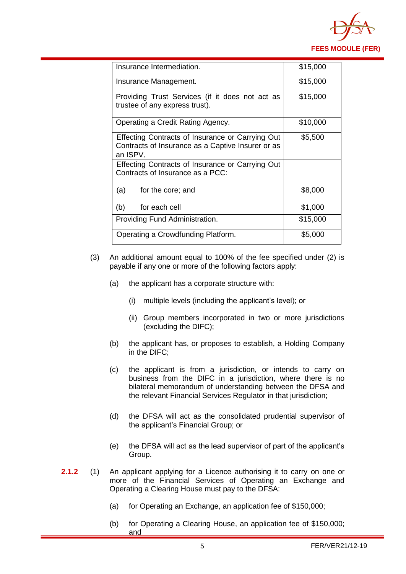

| Insurance Intermediation.                                                                                         | \$15,000 |
|-------------------------------------------------------------------------------------------------------------------|----------|
| Insurance Management.                                                                                             | \$15,000 |
| Providing Trust Services (if it does not act as<br>trustee of any express trust).                                 | \$15,000 |
| Operating a Credit Rating Agency.                                                                                 | \$10,000 |
| Effecting Contracts of Insurance or Carrying Out<br>Contracts of Insurance as a Captive Insurer or as<br>an ISPV. | \$5,500  |
| Effecting Contracts of Insurance or Carrying Out<br>Contracts of Insurance as a PCC:                              |          |
| (a)<br>for the core; and                                                                                          | \$8,000  |
| for each cell<br>(b)                                                                                              | \$1,000  |
| Providing Fund Administration.                                                                                    | \$15,000 |
| Operating a Crowdfunding Platform.                                                                                | \$5,000  |

- (3) An additional amount equal to 100% of the fee specified under (2) is payable if any one or more of the following factors apply:
	- (a) the applicant has a corporate structure with:
		- (i) multiple levels (including the applicant's level); or
		- (ii) Group members incorporated in two or more jurisdictions (excluding the DIFC);
	- (b) the applicant has, or proposes to establish, a Holding Company in the DIFC;
	- (c) the applicant is from a jurisdiction, or intends to carry on business from the DIFC in a jurisdiction, where there is no bilateral memorandum of understanding between the DFSA and the relevant Financial Services Regulator in that jurisdiction;
	- (d) the DFSA will act as the consolidated prudential supervisor of the applicant's Financial Group; or
	- (e) the DFSA will act as the lead supervisor of part of the applicant's Group.
- **2.1.2** (1) An applicant applying for a Licence authorising it to carry on one or more of the Financial Services of Operating an Exchange and Operating a Clearing House must pay to the DFSA:
	- (a) for Operating an Exchange, an application fee of \$150,000;
	- (b) for Operating a Clearing House, an application fee of \$150,000; and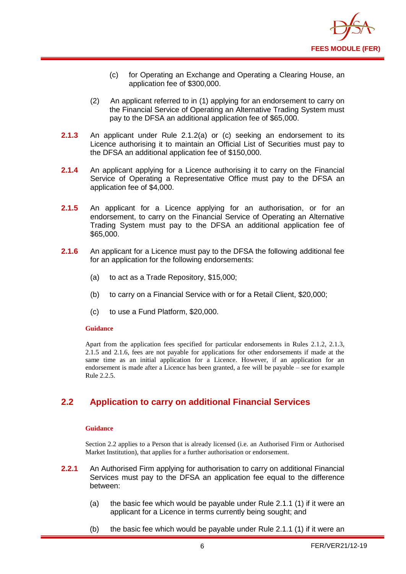

- (c) for Operating an Exchange and Operating a Clearing House, an application fee of \$300,000.
- (2) An applicant referred to in (1) applying for an endorsement to carry on the Financial Service of Operating an Alternative Trading System must pay to the DFSA an additional application fee of \$65,000.
- **2.1.3** An applicant under Rule 2.1.2(a) or (c) seeking an endorsement to its Licence authorising it to maintain an Official List of Securities must pay to the DFSA an additional application fee of \$150,000.
- **2.1.4** An applicant applying for a Licence authorising it to carry on the Financial Service of Operating a Representative Office must pay to the DFSA an application fee of \$4,000.
- **2.1.5** An applicant for a Licence applying for an authorisation, or for an endorsement, to carry on the Financial Service of Operating an Alternative Trading System must pay to the DFSA an additional application fee of \$65,000.
- **2.1.6** An applicant for a Licence must pay to the DFSA the following additional fee for an application for the following endorsements:
	- (a) to act as a Trade Repository, \$15,000;
	- (b) to carry on a Financial Service with or for a Retail Client, \$20,000;
	- (c) to use a Fund Platform, \$20,000.

#### **Guidance**

Apart from the application fees specified for particular endorsements in Rules 2.1.2, 2.1.3, 2.1.5 and 2.1.6, fees are not payable for applications for other endorsements if made at the same time as an initial application for a Licence. However, if an application for an endorsement is made after a Licence has been granted, a fee will be payable – see for example Rule 2.2.5.

## <span id="page-7-0"></span>**2.2 Application to carry on additional Financial Services**

#### **Guidance**

Section 2.2 applies to a Person that is already licensed (i.e. an Authorised Firm or Authorised Market Institution), that applies for a further authorisation or endorsement.

- **2.2.1** An Authorised Firm applying for authorisation to carry on additional Financial Services must pay to the DFSA an application fee equal to the difference between:
	- (a) the basic fee which would be payable under Rule 2.1.1 (1) if it were an applicant for a Licence in terms currently being sought; and
	- (b) the basic fee which would be payable under Rule 2.1.1 (1) if it were an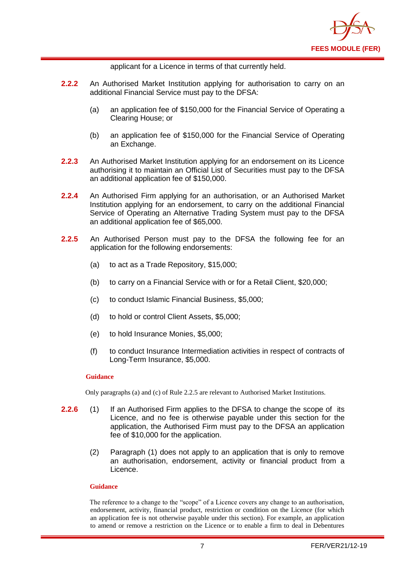

applicant for a Licence in terms of that currently held.

- **2.2.2** An Authorised Market Institution applying for authorisation to carry on an additional Financial Service must pay to the DFSA:
	- (a) an application fee of \$150,000 for the Financial Service of Operating a Clearing House; or
	- (b) an application fee of \$150,000 for the Financial Service of Operating an Exchange.
- **2.2.3** An Authorised Market Institution applying for an endorsement on its Licence authorising it to maintain an Official List of Securities must pay to the DFSA an additional application fee of \$150,000.
- **2.2.4** An Authorised Firm applying for an authorisation, or an Authorised Market Institution applying for an endorsement, to carry on the additional Financial Service of Operating an Alternative Trading System must pay to the DFSA an additional application fee of \$65,000.
- **2.2.5** An Authorised Person must pay to the DFSA the following fee for an application for the following endorsements:
	- (a) to act as a Trade Repository, \$15,000;
	- (b) to carry on a Financial Service with or for a Retail Client, \$20,000;
	- (c) to conduct Islamic Financial Business, \$5,000;
	- (d) to hold or control Client Assets, \$5,000;
	- (e) to hold Insurance Monies, \$5,000;
	- (f) to conduct Insurance Intermediation activities in respect of contracts of Long-Term Insurance, \$5,000.

#### **Guidance**

Only paragraphs (a) and (c) of Rule 2.2.5 are relevant to Authorised Market Institutions.

- **2.2.6** (1) If an Authorised Firm applies to the DFSA to change the scope of its Licence, and no fee is otherwise payable under this section for the application, the Authorised Firm must pay to the DFSA an application fee of \$10,000 for the application.
	- (2) Paragraph (1) does not apply to an application that is only to remove an authorisation, endorsement, activity or financial product from a Licence.

#### **Guidance**

The reference to a change to the "scope" of a Licence covers any change to an authorisation, endorsement, activity, financial product, restriction or condition on the Licence (for which an application fee is not otherwise payable under this section). For example, an application to amend or remove a restriction on the Licence or to enable a firm to deal in Debentures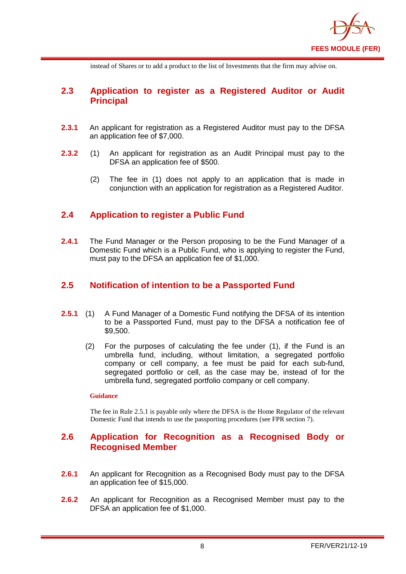

instead of Shares or to add a product to the list of Investments that the firm may advise on.

## <span id="page-9-0"></span>**2.3 Application to register as a Registered Auditor or Audit Principal**

- **2.3.1** An applicant for registration as a Registered Auditor must pay to the DFSA an application fee of \$7,000.
- **2.3.2** (1) An applicant for registration as an Audit Principal must pay to the DFSA an application fee of \$500.
	- (2) The fee in (1) does not apply to an application that is made in conjunction with an application for registration as a Registered Auditor.

## <span id="page-9-1"></span>**2.4 Application to register a Public Fund**

**2.4.1** The Fund Manager or the Person proposing to be the Fund Manager of a Domestic Fund which is a Public Fund, who is applying to register the Fund, must pay to the DFSA an application fee of \$1,000.

## <span id="page-9-2"></span>**2.5 Notification of intention to be a Passported Fund**

- **2.5.1** (1) A Fund Manager of a Domestic Fund notifying the DFSA of its intention to be a Passported Fund, must pay to the DFSA a notification fee of \$9,500.
	- (2) For the purposes of calculating the fee under (1), if the Fund is an umbrella fund, including, without limitation, a segregated portfolio company or cell company, a fee must be paid for each sub-fund, segregated portfolio or cell, as the case may be, instead of for the umbrella fund, segregated portfolio company or cell company.

#### **Guidance**

The fee in Rule 2.5.1 is payable only where the DFSA is the Home Regulator of the relevant Domestic Fund that intends to use the passporting procedures (see FPR section 7).

## <span id="page-9-3"></span>**2.6 Application for Recognition as a Recognised Body or Recognised Member**

- **2.6.1** An applicant for Recognition as a Recognised Body must pay to the DFSA an application fee of \$15,000.
- **2.6.2** An applicant for Recognition as a Recognised Member must pay to the DFSA an application fee of \$1,000.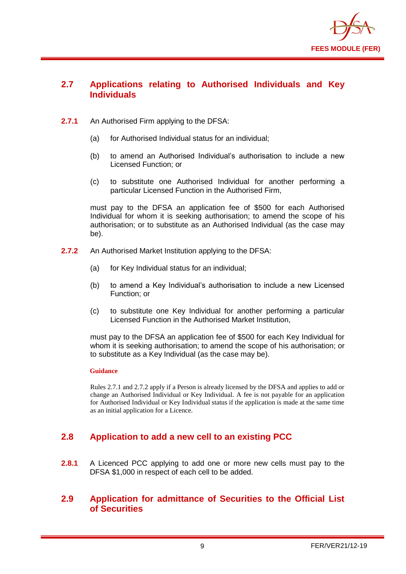

## <span id="page-10-0"></span>**2.7 Applications relating to Authorised Individuals and Key Individuals**

- **2.7.1** An Authorised Firm applying to the DFSA:
	- (a) for Authorised Individual status for an individual;
	- (b) to amend an Authorised Individual's authorisation to include a new Licensed Function; or
	- (c) to substitute one Authorised Individual for another performing a particular Licensed Function in the Authorised Firm,

must pay to the DFSA an application fee of \$500 for each Authorised Individual for whom it is seeking authorisation; to amend the scope of his authorisation; or to substitute as an Authorised Individual (as the case may be).

- **2.7.2** An Authorised Market Institution applying to the DFSA:
	- (a) for Key Individual status for an individual;
	- (b) to amend a Key Individual's authorisation to include a new Licensed Function; or
	- (c) to substitute one Key Individual for another performing a particular Licensed Function in the Authorised Market Institution,

must pay to the DFSA an application fee of \$500 for each Key Individual for whom it is seeking authorisation; to amend the scope of his authorisation; or to substitute as a Key Individual (as the case may be).

#### **Guidance**

Rules 2.7.1 and 2.7.2 apply if a Person is already licensed by the DFSA and applies to add or change an Authorised Individual or Key Individual. A fee is not payable for an application for Authorised Individual or Key Individual status if the application is made at the same time as an initial application for a Licence.

## <span id="page-10-1"></span>**2.8 Application to add a new cell to an existing PCC**

**2.8.1** A Licenced PCC applying to add one or more new cells must pay to the DFSA \$1,000 in respect of each cell to be added.

## <span id="page-10-2"></span>**2.9 Application for admittance of Securities to the Official List of Securities**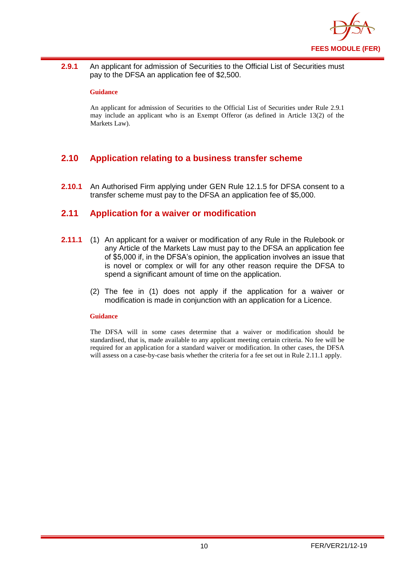

2.9.1 An applicant for admission of Securities to the Official List of Securities must pay to the DFSA an application fee of \$2,500.

#### **Guidance**

An applicant for admission of Securities to the Official List of Securities under Rule 2.9.1 may include an applicant who is an Exempt Offeror (as defined in Article 13(2) of the Markets Law).

## <span id="page-11-0"></span>**2.10 Application relating to a business transfer scheme**

**2.10.1** An Authorised Firm applying under GEN Rule 12.1.5 for DFSA consent to a transfer scheme must pay to the DFSA an application fee of \$5,000.

### <span id="page-11-1"></span>**2.11 Application for a waiver or modification**

- **2.11.1** (1) An applicant for a waiver or modification of any Rule in the Rulebook or any Article of the Markets Law must pay to the DFSA an application fee of \$5,000 if, in the DFSA's opinion, the application involves an issue that is novel or complex or will for any other reason require the DFSA to spend a significant amount of time on the application.
	- (2) The fee in (1) does not apply if the application for a waiver or modification is made in conjunction with an application for a Licence.

#### **Guidance**

The DFSA will in some cases determine that a waiver or modification should be standardised, that is, made available to any applicant meeting certain criteria. No fee will be required for an application for a standard waiver or modification. In other cases, the DFSA will assess on a case-by-case basis whether the criteria for a fee set out in Rule 2.11.1 apply.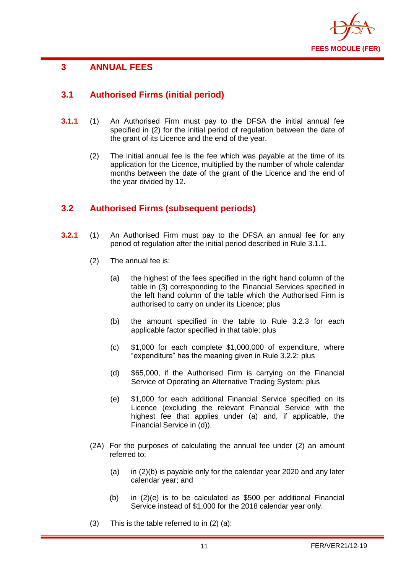

## <span id="page-12-0"></span>**3 ANNUAL FEES**

## <span id="page-12-1"></span>**3.1 Authorised Firms (initial period)**

- **3.1.1** (1) An Authorised Firm must pay to the DFSA the initial annual fee specified in (2) for the initial period of regulation between the date of the grant of its Licence and the end of the year.
	- (2) The initial annual fee is the fee which was payable at the time of its application for the Licence, multiplied by the number of whole calendar months between the date of the grant of the Licence and the end of the year divided by 12.

## <span id="page-12-2"></span>**3.2 Authorised Firms (subsequent periods)**

- **3.2.1** (1) An Authorised Firm must pay to the DFSA an annual fee for any period of regulation after the initial period described in Rule 3.1.1.
	- (2) The annual fee is:
		- (a) the highest of the fees specified in the right hand column of the table in (3) corresponding to the Financial Services specified in the left hand column of the table which the Authorised Firm is authorised to carry on under its Licence; plus
		- (b) the amount specified in the table to Rule 3.2.3 for each applicable factor specified in that table; plus
		- (c) \$1,000 for each complete \$1,000,000 of expenditure, where "expenditure" has the meaning given in Rule 3.2.2; plus
		- (d) \$65,000, if the Authorised Firm is carrying on the Financial Service of Operating an Alternative Trading System; plus
		- (e) \$1,000 for each additional Financial Service specified on its Licence (excluding the relevant Financial Service with the highest fee that applies under (a) and, if applicable, the Financial Service in (d)).
	- (2A) For the purposes of calculating the annual fee under (2) an amount referred to:
		- (a) in (2)(b) is payable only for the calendar year 2020 and any later calendar year; and
		- (b) in (2)(e) is to be calculated as \$500 per additional Financial Service instead of \$1,000 for the 2018 calendar year only.
	- (3) This is the table referred to in (2) (a):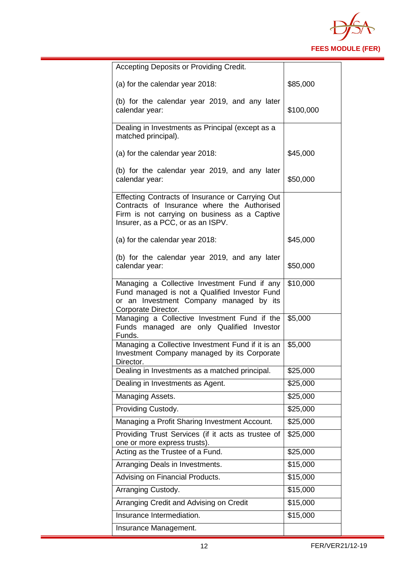

| Accepting Deposits or Providing Credit.                                                                                                                                               |           |
|---------------------------------------------------------------------------------------------------------------------------------------------------------------------------------------|-----------|
| (a) for the calendar year 2018:                                                                                                                                                       | \$85,000  |
| (b) for the calendar year 2019, and any later<br>calendar year:                                                                                                                       | \$100,000 |
| Dealing in Investments as Principal (except as a<br>matched principal).                                                                                                               |           |
| (a) for the calendar year 2018:                                                                                                                                                       | \$45,000  |
| (b) for the calendar year 2019, and any later<br>calendar year:                                                                                                                       | \$50,000  |
| Effecting Contracts of Insurance or Carrying Out<br>Contracts of Insurance where the Authorised<br>Firm is not carrying on business as a Captive<br>Insurer, as a PCC, or as an ISPV. |           |
| (a) for the calendar year 2018:                                                                                                                                                       | \$45,000  |
| (b) for the calendar year 2019, and any later<br>calendar year:                                                                                                                       | \$50,000  |
| Managing a Collective Investment Fund if any<br>Fund managed is not a Qualified Investor Fund<br>or an Investment Company managed by its<br>Corporate Director.                       | \$10,000  |
| Managing a Collective Investment Fund if the<br>Funds managed are only Qualified Investor<br>Funds.                                                                                   | \$5,000   |
| Managing a Collective Investment Fund if it is an<br>Investment Company managed by its Corporate<br>Director.                                                                         | \$5,000   |
| Dealing in Investments as a matched principal.                                                                                                                                        | \$25,000  |
| Dealing in Investments as Agent.                                                                                                                                                      | \$25,000  |
| Managing Assets.                                                                                                                                                                      | \$25,000  |
| Providing Custody.                                                                                                                                                                    | \$25,000  |
| Managing a Profit Sharing Investment Account.                                                                                                                                         | \$25,000  |
| Providing Trust Services (if it acts as trustee of<br>one or more express trusts).                                                                                                    | \$25,000  |
| Acting as the Trustee of a Fund.                                                                                                                                                      | \$25,000  |
| Arranging Deals in Investments.                                                                                                                                                       | \$15,000  |
| Advising on Financial Products.                                                                                                                                                       | \$15,000  |
| Arranging Custody.                                                                                                                                                                    | \$15,000  |
| Arranging Credit and Advising on Credit                                                                                                                                               | \$15,000  |
| Insurance Intermediation.                                                                                                                                                             | \$15,000  |
| Insurance Management.                                                                                                                                                                 |           |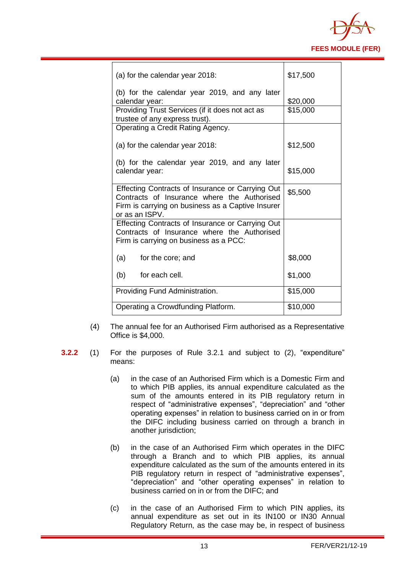

| (a) for the calendar year 2018:                                                                                                                                        | \$17,500 |
|------------------------------------------------------------------------------------------------------------------------------------------------------------------------|----------|
| (b) for the calendar year 2019, and any later<br>calendar year:                                                                                                        | \$20,000 |
| Providing Trust Services (if it does not act as<br>trustee of any express trust).                                                                                      | \$15,000 |
| Operating a Credit Rating Agency.                                                                                                                                      |          |
| (a) for the calendar year 2018:                                                                                                                                        | \$12,500 |
| (b) for the calendar year 2019, and any later<br>calendar year:                                                                                                        | \$15,000 |
| Effecting Contracts of Insurance or Carrying Out<br>Contracts of Insurance where the Authorised<br>Firm is carrying on business as a Captive Insurer<br>or as an ISPV. | \$5,500  |
| Effecting Contracts of Insurance or Carrying Out<br>Contracts of Insurance where the Authorised<br>Firm is carrying on business as a PCC:                              |          |
| (a) for the core; and                                                                                                                                                  | \$8,000  |
| for each cell.<br>(b)                                                                                                                                                  | \$1,000  |
| Providing Fund Administration.                                                                                                                                         | \$15,000 |
| Operating a Crowdfunding Platform.                                                                                                                                     | \$10,000 |

- (4) The annual fee for an Authorised Firm authorised as a Representative Office is \$4,000.
- **3.2.2** (1) For the purposes of Rule 3.2.1 and subject to (2), "expenditure" means:
	- (a) in the case of an Authorised Firm which is a Domestic Firm and to which PIB applies, its annual expenditure calculated as the sum of the amounts entered in its PIB regulatory return in respect of "administrative expenses", "depreciation" and "other operating expenses" in relation to business carried on in or from the DIFC including business carried on through a branch in another jurisdiction;
	- (b) in the case of an Authorised Firm which operates in the DIFC through a Branch and to which PIB applies, its annual expenditure calculated as the sum of the amounts entered in its PIB regulatory return in respect of "administrative expenses", "depreciation" and "other operating expenses" in relation to business carried on in or from the DIFC; and
	- (c) in the case of an Authorised Firm to which PIN applies, its annual expenditure as set out in its IN100 or IN30 Annual Regulatory Return, as the case may be, in respect of business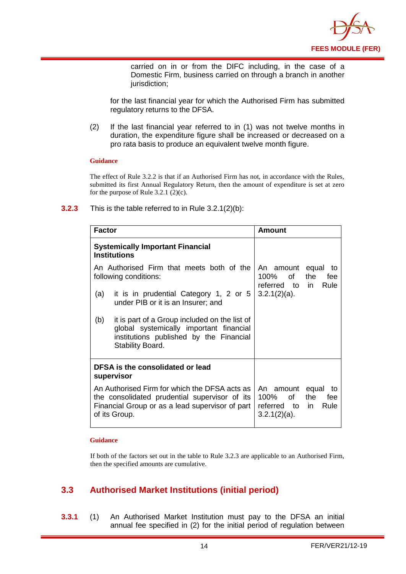

carried on in or from the DIFC including, in the case of a Domestic Firm, business carried on through a branch in another jurisdiction;

for the last financial year for which the Authorised Firm has submitted regulatory returns to the DFSA.

(2) If the last financial year referred to in (1) was not twelve months in duration, the expenditure figure shall be increased or decreased on a pro rata basis to produce an equivalent twelve month figure.

#### **Guidance**

The effect of Rule 3.2.2 is that if an Authorised Firm has not, in accordance with the Rules, submitted its first Annual Regulatory Return, then the amount of expenditure is set at zero for the purpose of Rule  $3.2.1$  (2)(c).

| <b>Factor</b>                                                                                                                                                      |                                                                                                                                                         | Amount                                                                                         |  |
|--------------------------------------------------------------------------------------------------------------------------------------------------------------------|---------------------------------------------------------------------------------------------------------------------------------------------------------|------------------------------------------------------------------------------------------------|--|
| <b>Systemically Important Financial</b><br><b>Institutions</b>                                                                                                     |                                                                                                                                                         |                                                                                                |  |
| An Authorised Firm that meets both of the<br>following conditions:                                                                                                 |                                                                                                                                                         | An amount equal<br>to<br>100% of<br>the<br>fee<br>referred to in<br>Rule                       |  |
| (a)                                                                                                                                                                | it is in prudential Category 1, 2 or 5<br>under PIB or it is an Insurer; and                                                                            | $3.2.1(2)(a)$ .                                                                                |  |
| (b)                                                                                                                                                                | it is part of a Group included on the list of<br>global systemically important financial<br>institutions published by the Financial<br>Stability Board. |                                                                                                |  |
| DFSA is the consolidated or lead<br>supervisor                                                                                                                     |                                                                                                                                                         |                                                                                                |  |
| An Authorised Firm for which the DFSA acts as<br>the consolidated prudential supervisor of its<br>Financial Group or as a lead supervisor of part<br>of its Group. |                                                                                                                                                         | An amount equal<br>to<br>of<br>100%<br>the<br>fee<br>referred to in<br>Rule<br>$3.2.1(2)(a)$ . |  |

#### **3.2.3** This is the table referred to in Rule 3.2.1(2)(b):

#### **Guidance**

If both of the factors set out in the table to Rule 3.2.3 are applicable to an Authorised Firm, then the specified amounts are cumulative.

## <span id="page-15-0"></span>**3.3 Authorised Market Institutions (initial period)**

**3.3.1** (1) An Authorised Market Institution must pay to the DFSA an initial annual fee specified in (2) for the initial period of regulation between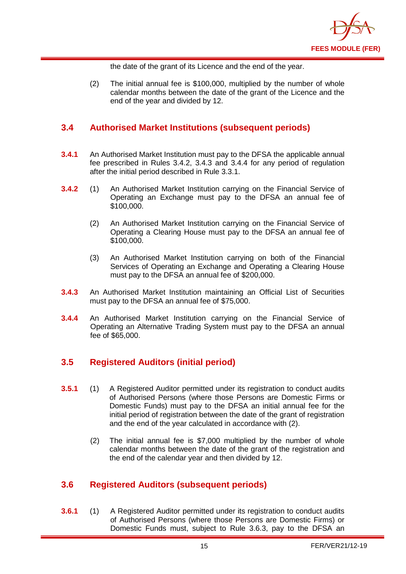

the date of the grant of its Licence and the end of the year.

(2) The initial annual fee is \$100,000, multiplied by the number of whole calendar months between the date of the grant of the Licence and the end of the year and divided by 12.

## <span id="page-16-0"></span>**3.4 Authorised Market Institutions (subsequent periods)**

- **3.4.1** An Authorised Market Institution must pay to the DFSA the applicable annual fee prescribed in Rules 3.4.2, 3.4.3 and 3.4.4 for any period of regulation after the initial period described in Rule 3.3.1.
- **3.4.2** (1) An Authorised Market Institution carrying on the Financial Service of Operating an Exchange must pay to the DFSA an annual fee of \$100,000.
	- (2) An Authorised Market Institution carrying on the Financial Service of Operating a Clearing House must pay to the DFSA an annual fee of \$100,000.
	- (3) An Authorised Market Institution carrying on both of the Financial Services of Operating an Exchange and Operating a Clearing House must pay to the DFSA an annual fee of \$200,000.
- **3.4.3** An Authorised Market Institution maintaining an Official List of Securities must pay to the DFSA an annual fee of \$75,000.
- **3.4.4** An Authorised Market Institution carrying on the Financial Service of Operating an Alternative Trading System must pay to the DFSA an annual fee of \$65,000.

## <span id="page-16-1"></span>**3.5 Registered Auditors (initial period)**

- **3.5.1** (1) A Registered Auditor permitted under its registration to conduct audits of Authorised Persons (where those Persons are Domestic Firms or Domestic Funds) must pay to the DFSA an initial annual fee for the initial period of registration between the date of the grant of registration and the end of the year calculated in accordance with (2).
	- (2) The initial annual fee is \$7,000 multiplied by the number of whole calendar months between the date of the grant of the registration and the end of the calendar year and then divided by 12.

## <span id="page-16-2"></span>**3.6 Registered Auditors (subsequent periods)**

**3.6.1** (1) A Registered Auditor permitted under its registration to conduct audits of Authorised Persons (where those Persons are Domestic Firms) or Domestic Funds must, subject to Rule 3.6.3, pay to the DFSA an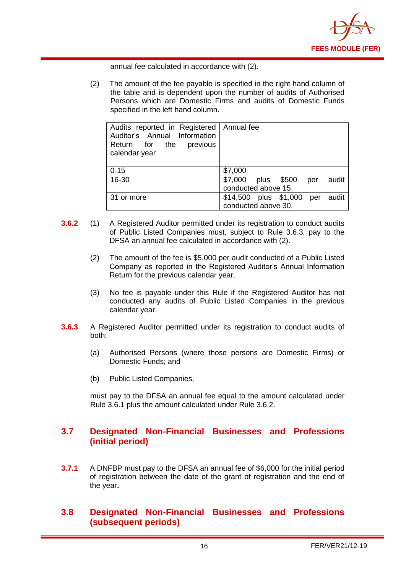

annual fee calculated in accordance with (2).

(2) The amount of the fee payable is specified in the right hand column of the table and is dependent upon the number of audits of Authorised Persons which are Domestic Firms and audits of Domestic Funds specified in the left hand column.

| Audits reported in Registered   Annual fee<br>Auditor's Annual Information<br>Return for the<br>previous<br>calendar year |                                    |  |
|---------------------------------------------------------------------------------------------------------------------------|------------------------------------|--|
| $0 - 15$                                                                                                                  | \$7,000                            |  |
| 16-30                                                                                                                     | \$7,000 plus \$500<br>audit<br>per |  |
|                                                                                                                           | conducted above 15.                |  |
| 31 or more                                                                                                                | \$14,500 plus \$1,000 per<br>audit |  |
|                                                                                                                           | conducted above 30.                |  |

- **3.6.2** (1) A Registered Auditor permitted under its registration to conduct audits of Public Listed Companies must, subject to Rule 3.6.3, pay to the DFSA an annual fee calculated in accordance with (2).
	- (2) The amount of the fee is \$5,000 per audit conducted of a Public Listed Company as reported in the Registered Auditor's Annual Information Return for the previous calendar year.
	- (3) No fee is payable under this Rule if the Registered Auditor has not conducted any audits of Public Listed Companies in the previous calendar year.
- **3.6.3** A Registered Auditor permitted under its registration to conduct audits of both:
	- (a) Authorised Persons (where those persons are Domestic Firms) or Domestic Funds; and
	- (b) Public Listed Companies,

must pay to the DFSA an annual fee equal to the amount calculated under Rule 3.6.1 plus the amount calculated under Rule 3.6.2.

## <span id="page-17-0"></span>**3.7 Designated Non-Financial Businesses and Professions (initial period)**

**3.7.1** A DNFBP must pay to the DFSA an annual fee of \$6,000 for the initial period of registration between the date of the grant of registration and the end of the year**.** 

## <span id="page-17-1"></span>**3.8 Designated Non-Financial Businesses and Professions (subsequent periods)**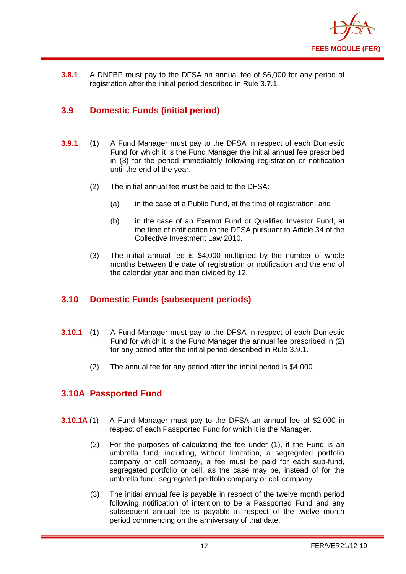

**3.8.1** A DNFBP must pay to the DFSA an annual fee of \$6,000 for any period of registration after the initial period described in Rule 3.7.1.

## <span id="page-18-0"></span>**3.9 Domestic Funds (initial period)**

- **3.9.1** (1) A Fund Manager must pay to the DFSA in respect of each Domestic Fund for which it is the Fund Manager the initial annual fee prescribed in (3) for the period immediately following registration or notification until the end of the year.
	- (2) The initial annual fee must be paid to the DFSA:
		- (a) in the case of a Public Fund, at the time of registration; and
		- (b) in the case of an Exempt Fund or Qualified Investor Fund, at the time of notification to the DFSA pursuant to Article 34 of the Collective Investment Law 2010.
	- (3) The initial annual fee is \$4,000 multiplied by the number of whole months between the date of registration or notification and the end of the calendar year and then divided by 12.

## <span id="page-18-1"></span>**3.10 Domestic Funds (subsequent periods)**

- **3.10.1** (1) A Fund Manager must pay to the DFSA in respect of each Domestic Fund for which it is the Fund Manager the annual fee prescribed in (2) for any period after the initial period described in Rule 3.9.1.
	- (2) The annual fee for any period after the initial period is \$4,000.

## <span id="page-18-2"></span>**3.10A Passported Fund**

- **3.10.1A** (1) A Fund Manager must pay to the DFSA an annual fee of \$2,000 in respect of each Passported Fund for which it is the Manager.
	- (2) For the purposes of calculating the fee under (1), if the Fund is an umbrella fund, including, without limitation, a segregated portfolio company or cell company, a fee must be paid for each sub-fund, segregated portfolio or cell, as the case may be, instead of for the umbrella fund, segregated portfolio company or cell company.
	- (3) The initial annual fee is payable in respect of the twelve month period following notification of intention to be a Passported Fund and any subsequent annual fee is payable in respect of the twelve month period commencing on the anniversary of that date.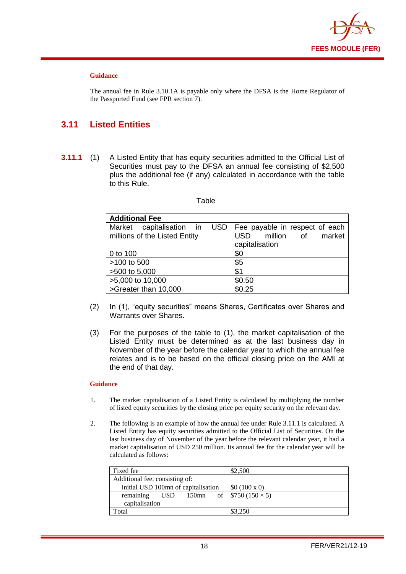

#### **Guidance**

The annual fee in Rule 3.10.1A is payable only where the DFSA is the Home Regulator of the Passported Fund (see FPR section 7).

## <span id="page-19-0"></span>**3.11 Listed Entities**

**3.11.1** (1) A Listed Entity that has equity securities admitted to the Official List of Securities must pay to the DFSA an annual fee consisting of \$2,500 plus the additional fee (if any) calculated in accordance with the table to this Rule.

#### Table

| <b>Additional Fee</b>         |                                      |
|-------------------------------|--------------------------------------|
| Market capitalisation in      | USD   Fee payable in respect of each |
| millions of the Listed Entity | million of<br>market<br><b>USD</b>   |
|                               | capitalisation                       |
| 0 to 100                      | \$0                                  |
| >100 to 500                   | \$5                                  |
| >500 to 5,000                 | \$1                                  |
| >5,000 to 10,000              | \$0.50                               |
| >Greater than 10,000          | \$0.25                               |

- (2) In (1), "equity securities" means Shares, Certificates over Shares and Warrants over Shares.
- (3) For the purposes of the table to (1), the market capitalisation of the Listed Entity must be determined as at the last business day in November of the year before the calendar year to which the annual fee relates and is to be based on the official closing price on the AMI at the end of that day.

#### **Guidance**

- 1. The market capitalisation of a Listed Entity is calculated by multiplying the number of listed equity securities by the closing price per equity security on the relevant day.
- 2. The following is an example of how the annual fee under Rule 3.11.1 is calculated. A Listed Entity has equity securities admitted to the Official List of Securities. On the last business day of November of the year before the relevant calendar year, it had a market capitalisation of USD 250 million. Its annual fee for the calendar year will be calculated as follows:

| Fixed fee                           | \$2,500                    |
|-------------------------------------|----------------------------|
| Additional fee, consisting of:      |                            |
| initial USD 100mn of capitalisation | \$0 (100 x 0)              |
| remaining<br>$150$ mn<br><b>USD</b> | of   $$750 (150 \times 5)$ |
| capitalisation                      |                            |
| Total                               | \$3,250                    |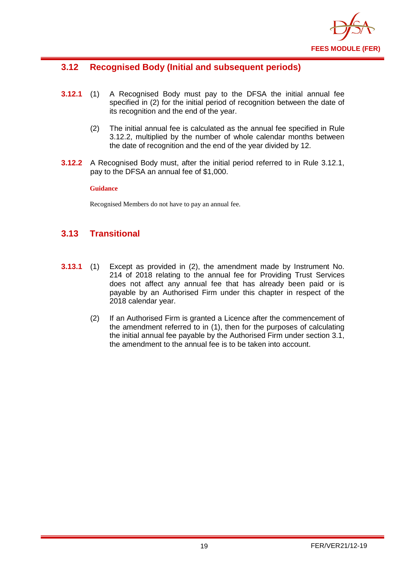

## <span id="page-20-0"></span>**3.12 Recognised Body (Initial and subsequent periods)**

- **3.12.1** (1) A Recognised Body must pay to the DFSA the initial annual fee specified in (2) for the initial period of recognition between the date of its recognition and the end of the year.
	- (2) The initial annual fee is calculated as the annual fee specified in Rule 3.12.2, multiplied by the number of whole calendar months between the date of recognition and the end of the year divided by 12.
- **3.12.2** A Recognised Body must, after the initial period referred to in Rule 3.12.1, pay to the DFSA an annual fee of \$1,000.

#### **Guidance**

Recognised Members do not have to pay an annual fee.

## <span id="page-20-1"></span>**3.13 Transitional**

- **3.13.1** (1) Except as provided in (2), the amendment made by Instrument No. 214 of 2018 relating to the annual fee for Providing Trust Services does not affect any annual fee that has already been paid or is payable by an Authorised Firm under this chapter in respect of the 2018 calendar year.
	- (2) If an Authorised Firm is granted a Licence after the commencement of the amendment referred to in (1), then for the purposes of calculating the initial annual fee payable by the Authorised Firm under section 3.1, the amendment to the annual fee is to be taken into account.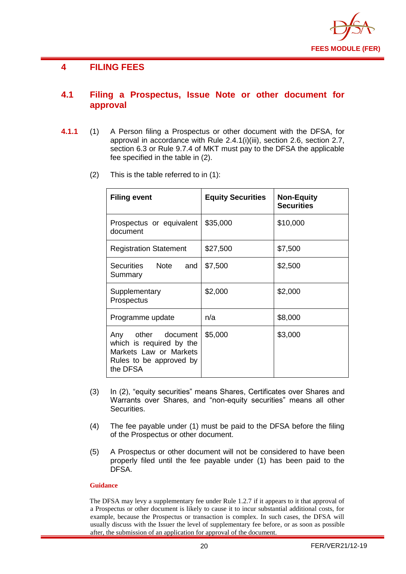

## <span id="page-21-0"></span>**4 FILING FEES**

## <span id="page-21-1"></span>**4.1 Filing a Prospectus, Issue Note or other document for approval**

- **4.1.1** (1) A Person filing a Prospectus or other document with the DFSA, for approval in accordance with Rule 2.4.1(i)(iii), section 2.6, section 2.7, section 6.3 or Rule 9.7.4 of MKT must pay to the DFSA the applicable fee specified in the table in (2).
	- (2) This is the table referred to in (1):

| <b>Filing event</b>                                                                                             | <b>Equity Securities</b> | <b>Non-Equity</b><br><b>Securities</b> |
|-----------------------------------------------------------------------------------------------------------------|--------------------------|----------------------------------------|
| Prospectus or equivalent<br>document                                                                            | \$35,000                 | \$10,000                               |
| <b>Registration Statement</b>                                                                                   | \$27,500                 | \$7,500                                |
| Securities Note<br>and<br>Summary                                                                               | \$7,500                  | \$2,500                                |
| Supplementary<br>Prospectus                                                                                     | \$2,000                  | \$2,000                                |
| Programme update                                                                                                | n/a                      | \$8,000                                |
| Any other document<br>which is required by the<br>Markets Law or Markets<br>Rules to be approved by<br>the DFSA | \$5,000                  | \$3,000                                |

- (3) In (2), "equity securities" means Shares, Certificates over Shares and Warrants over Shares, and "non-equity securities" means all other Securities.
- (4) The fee payable under (1) must be paid to the DFSA before the filing of the Prospectus or other document.
- (5) A Prospectus or other document will not be considered to have been properly filed until the fee payable under (1) has been paid to the DFSA.

#### **Guidance**

The DFSA may levy a supplementary fee under Rule 1.2.7 if it appears to it that approval of a Prospectus or other document is likely to cause it to incur substantial additional costs, for example, because the Prospectus or transaction is complex. In such cases, the DFSA will usually discuss with the Issuer the level of supplementary fee before, or as soon as possible after, the submission of an application for approval of the document.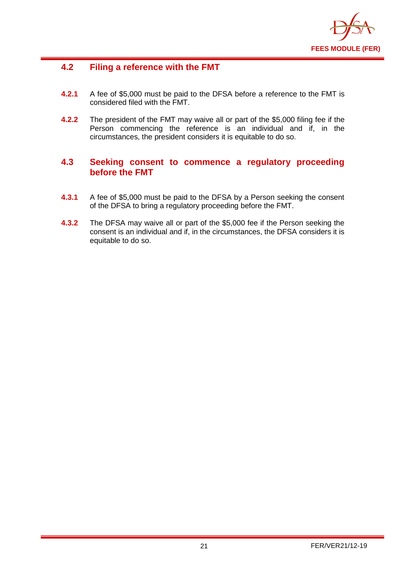

## <span id="page-22-0"></span>**4.2 Filing a reference with the FMT**

- **4.2.1** A fee of \$5,000 must be paid to the DFSA before a reference to the FMT is considered filed with the FMT.
- **4.2.2** The president of the FMT may waive all or part of the \$5,000 filing fee if the Person commencing the reference is an individual and if, in the circumstances, the president considers it is equitable to do so.

## <span id="page-22-1"></span>**4.3 Seeking consent to commence a regulatory proceeding before the FMT**

- **4.3.1** A fee of \$5,000 must be paid to the DFSA by a Person seeking the consent of the DFSA to bring a regulatory proceeding before the FMT.
- **4.3.2** The DFSA may waive all or part of the \$5,000 fee if the Person seeking the consent is an individual and if, in the circumstances, the DFSA considers it is equitable to do so.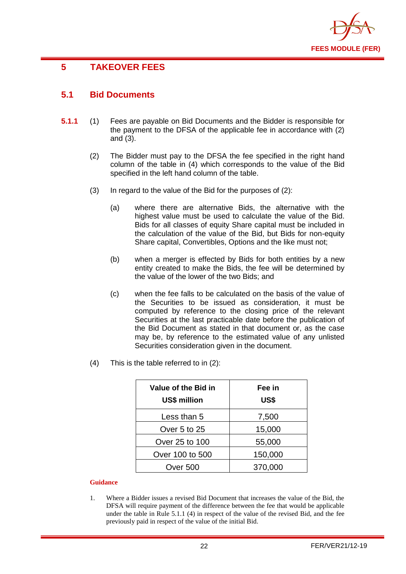

## <span id="page-23-0"></span>**5 TAKEOVER FEES**

## <span id="page-23-1"></span>**5.1 Bid Documents**

- **5.1.1** (1) Fees are payable on Bid Documents and the Bidder is responsible for the payment to the DFSA of the applicable fee in accordance with (2) and (3).
	- (2) The Bidder must pay to the DFSA the fee specified in the right hand column of the table in (4) which corresponds to the value of the Bid specified in the left hand column of the table.
	- (3) In regard to the value of the Bid for the purposes of (2):
		- (a) where there are alternative Bids, the alternative with the highest value must be used to calculate the value of the Bid. Bids for all classes of equity Share capital must be included in the calculation of the value of the Bid, but Bids for non-equity Share capital, Convertibles, Options and the like must not;
		- (b) when a merger is effected by Bids for both entities by a new entity created to make the Bids, the fee will be determined by the value of the lower of the two Bids; and
		- (c) when the fee falls to be calculated on the basis of the value of the Securities to be issued as consideration, it must be computed by reference to the closing price of the relevant Securities at the last practicable date before the publication of the Bid Document as stated in that document or, as the case may be, by reference to the estimated value of any unlisted Securities consideration given in the document.
	- (4) This is the table referred to in (2):

| Value of the Bid in<br><b>US\$ million</b> | Fee in<br>US\$ |
|--------------------------------------------|----------------|
| Less than 5                                | 7,500          |
| Over 5 to 25                               | 15,000         |
| Over 25 to 100                             | 55,000         |
| Over 100 to 500                            | 150,000        |
| Over 500                                   | 370,000        |

#### **Guidance**

1. Where a Bidder issues a revised Bid Document that increases the value of the Bid, the DFSA will require payment of the difference between the fee that would be applicable under the table in Rule 5.1.1 (4) in respect of the value of the revised Bid, and the fee previously paid in respect of the value of the initial Bid.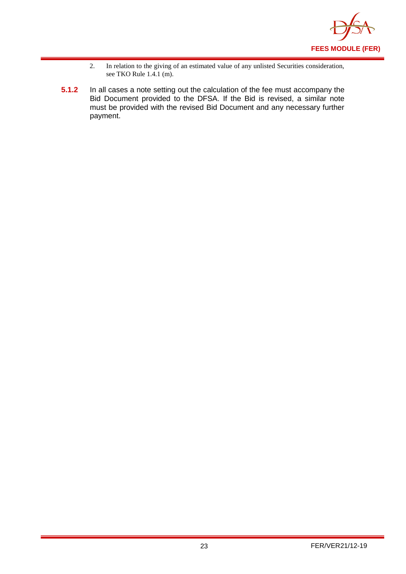

- 2. In relation to the giving of an estimated value of any unlisted Securities consideration, see TKO Rule 1.4.1 (m).
- **5.1.2** In all cases a note setting out the calculation of the fee must accompany the Bid Document provided to the DFSA. If the Bid is revised, a similar note must be provided with the revised Bid Document and any necessary further payment.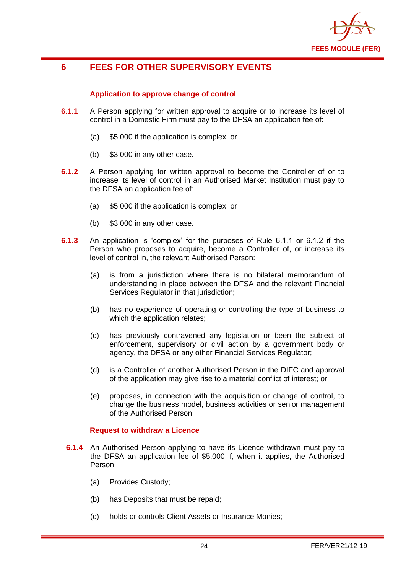

## <span id="page-25-0"></span>**6 FEES FOR OTHER SUPERVISORY EVENTS**

#### **Application to approve change of control**

- **6.1.1** A Person applying for written approval to acquire or to increase its level of control in a Domestic Firm must pay to the DFSA an application fee of:
	- (a) \$5,000 if the application is complex; or
	- (b) \$3,000 in any other case.
- **6.1.2** A Person applying for written approval to become the Controller of or to increase its level of control in an Authorised Market Institution must pay to the DFSA an application fee of:
	- (a) \$5,000 if the application is complex; or
	- (b) \$3,000 in any other case.
- **6.1.3** An application is 'complex' for the purposes of Rule 6.1.1 or 6.1.2 if the Person who proposes to acquire, become a Controller of, or increase its level of control in, the relevant Authorised Person:
	- (a) is from a jurisdiction where there is no bilateral memorandum of understanding in place between the DFSA and the relevant Financial Services Regulator in that jurisdiction;
	- (b) has no experience of operating or controlling the type of business to which the application relates;
	- (c) has previously contravened any legislation or been the subject of enforcement, supervisory or civil action by a government body or agency, the DFSA or any other Financial Services Regulator;
	- (d) is a Controller of another Authorised Person in the DIFC and approval of the application may give rise to a material conflict of interest; or
	- (e) proposes, in connection with the acquisition or change of control, to change the business model, business activities or senior management of the Authorised Person.

#### **Request to withdraw a Licence**

- **6.1.4** An Authorised Person applying to have its Licence withdrawn must pay to the DFSA an application fee of \$5,000 if, when it applies, the Authorised Person:
	- (a) Provides Custody;
	- (b) has Deposits that must be repaid;
	- (c) holds or controls Client Assets or Insurance Monies;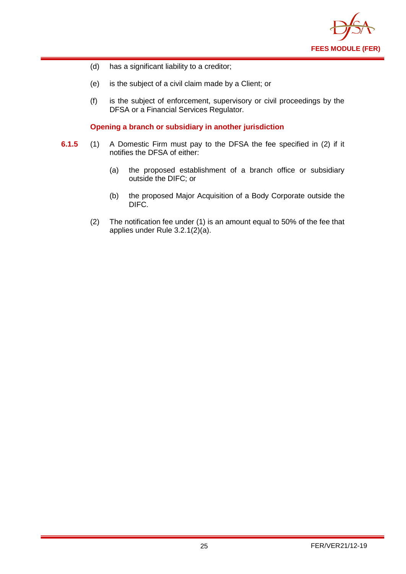

- (d) has a significant liability to a creditor;
- (e) is the subject of a civil claim made by a Client; or
- (f) is the subject of enforcement, supervisory or civil proceedings by the DFSA or a Financial Services Regulator.

**Opening a branch or subsidiary in another jurisdiction** 

- **6.1.5** (1) A Domestic Firm must pay to the DFSA the fee specified in (2) if it notifies the DFSA of either:
	- (a) the proposed establishment of a branch office or subsidiary outside the DIFC; or
	- (b) the proposed Major Acquisition of a Body Corporate outside the DIFC.
	- (2) The notification fee under (1) is an amount equal to 50% of the fee that applies under Rule 3.2.1(2)(a).